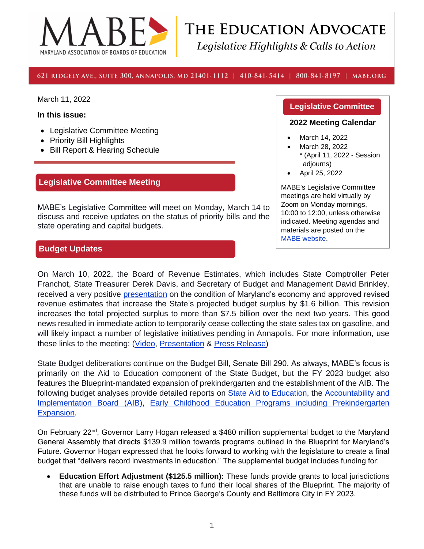

# THE EDUCATION ADVOCATE Legislative Highlights & Calls to Action

#### 621 RIDGELY AVE., SUITE 300, ANNAPOLIS, MD 21401-1112 | 410-841-5414 | 800-841-8197 | MABE.ORG

March 11, 2022

**In this issue:** 

- Legislative Committee Meeting
- Priority Bill Highlights
- Bill Report & Hearing Schedule

# **Legislative Committee Meeting**

MABE's Legislative Committee will meet on Monday, March 14 to discuss and receive updates on the status of priority bills and the state operating and capital budgets.

## **Budget Updates**

#### **Legislative Committee**

#### **2022 Meeting Calendar**

- March 14, 2022
- March 28, 2022 \* (April 11, 2022 - Session adjourns)
- April 25, 2022

MABE's Legislative Committee meetings are held virtually by Zoom on Monday mornings, 10:00 to 12:00, unless otherwise indicated. Meeting agendas and materials are posted on the [MABE website.](http://www.mabe.org/advocacy/state-advocacy/legislative-committee-meeting-handouts/)

On March 10, 2022, the Board of Revenue Estimates, which includes State Comptroller Peter Franchot, State Treasurer Derek Davis, and Secretary of Budget and Management David Brinkley, received a very positive [presentation](https://content.govdelivery.com/attachments/MDCOMP/2022/03/10/file_attachments/2100212/March%202022%20BRE%20Presentation.pptx) on the condition of Maryland's economy and approved revised revenue estimates that increase the State's projected budget surplus by \$1.6 billion. This revision increases the total projected surplus to more than \$7.5 billion over the next two years. This good news resulted in immediate action to temporarily cease collecting the state sales tax on gasoline, and will likely impact a number of legislative initiatives pending in Annapolis. For more information, use these links to the meeting: [\(Video,](https://www.facebook.com/ComptrollerofMaryland/videos/354591646537307) [Presentation](https://content.govdelivery.com/attachments/MDCOMP/2022/03/10/file_attachments/2100212/March%202022%20BRE%20Presentation.pptx) & [Press Release\)](https://content.govdelivery.com/bulletins/gd/MDCOMP-30e3112?wgt_ref=MDCOMP_WIDGET_C7)

State Budget deliberations continue on the Budget Bill, Senate Bill 290. As always, MABE's focus is primarily on the Aid to Education component of the State Budget, but the FY 2023 budget also features the Blueprint-mandated expansion of prekindergarten and the establishment of the AIB. The following budget analyses provide detailed reports on [State Aid to Education,](https://mgaleg.maryland.gov/pubs/budgetfiscal/2023fy-budget-docs-operating-R00A02-MSDE-Aid-to-Education.pdf) the Accountability and [Implementation Board \(AIB\),](https://mgaleg.maryland.gov/pubs/budgetfiscal/2023fy-budget-docs-operating-R00A09-Accountability-and-Implementation-Board.pdf) [Early Childhood Education Programs including Prekindergarten](https://mgaleg.maryland.gov/pubs/budgetfiscal/2023fy-budget-docs-operating-R00A99-MSDE-Early-Childhood-Development.pdf)  [Expansion.](https://mgaleg.maryland.gov/pubs/budgetfiscal/2023fy-budget-docs-operating-R00A99-MSDE-Early-Childhood-Development.pdf)

On February  $22^{nd}$ , Governor Larry Hogan released a \$480 million supplemental budget to the Maryland General Assembly that directs \$139.9 million towards programs outlined in the Blueprint for Maryland's Future. Governor Hogan expressed that he looks forward to working with the legislature to create a final budget that "delivers record investments in education." The supplemental budget includes funding for:

• **Education Effort Adjustment (\$125.5 million):** These funds provide grants to local jurisdictions that are unable to raise enough taxes to fund their local shares of the Blueprint. The majority of these funds will be distributed to Prince George's County and Baltimore City in FY 2023.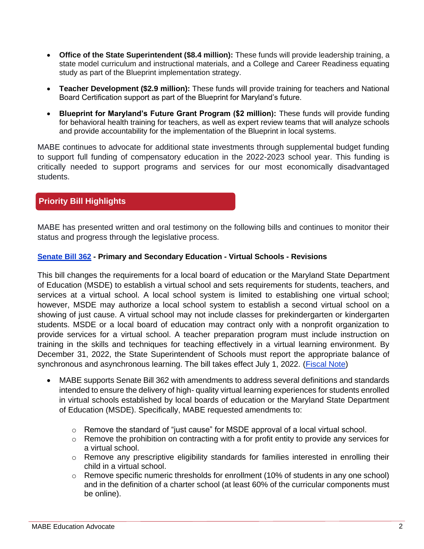- **Office of the State Superintendent (\$8.4 million):** These funds will provide leadership training, a state model curriculum and instructional materials, and a College and Career Readiness equating study as part of the Blueprint implementation strategy.
- **Teacher Development (\$2.9 million):** These funds will provide training for teachers and National Board Certification support as part of the Blueprint for Maryland's future.
- **Blueprint for Maryland's Future Grant Program (\$2 million):** These funds will provide funding for behavioral health training for teachers, as well as expert review teams that will analyze schools and provide accountability for the implementation of the Blueprint in local systems.

MABE continues to advocate for additional state investments through supplemental budget funding to support full funding of compensatory education in the 2022-2023 school year. This funding is critically needed to support programs and services for our most economically disadvantaged students.

# **Priority Bill Highlights**

MABE has presented written and oral testimony on the following bills and continues to monitor their status and progress through the legislative process.

#### **[Senate Bill 362](https://mgaleg.maryland.gov/mgawebsite/Legislation/Details/sb0362) - Primary and Secondary Education - Virtual Schools - Revisions**

This bill changes the requirements for a local board of education or the Maryland State Department of Education (MSDE) to establish a virtual school and sets requirements for students, teachers, and services at a virtual school. A local school system is limited to establishing one virtual school; however, MSDE may authorize a local school system to establish a second virtual school on a showing of just cause. A virtual school may not include classes for prekindergarten or kindergarten students. MSDE or a local board of education may contract only with a nonprofit organization to provide services for a virtual school. A teacher preparation program must include instruction on training in the skills and techniques for teaching effectively in a virtual learning environment. By December 31, 2022, the State Superintendent of Schools must report the appropriate balance of synchronous and asynchronous learning. The bill takes effect July 1, 2022. [\(Fiscal Note\)](https://mgaleg.maryland.gov/2022RS/fnotes/bil_0002/sb0362.pdf)

- MABE supports Senate Bill 362 with amendments to address several definitions and standards intended to ensure the delivery of high- quality virtual learning experiences for students enrolled in virtual schools established by local boards of education or the Maryland State Department of Education (MSDE). Specifically, MABE requested amendments to:
	- $\circ$  Remove the standard of "just cause" for MSDE approval of a local virtual school.
	- o Remove the prohibition on contracting with a for profit entity to provide any services for a virtual school.
	- o Remove any prescriptive eligibility standards for families interested in enrolling their child in a virtual school.
	- $\circ$  Remove specific numeric thresholds for enrollment (10% of students in any one school) and in the definition of a charter school (at least 60% of the curricular components must be online).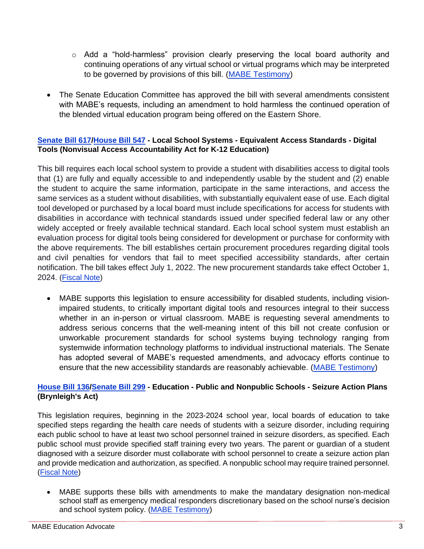- $\circ$  Add a "hold-harmless" provision clearly preserving the local board authority and continuing operations of any virtual school or virtual programs which may be interpreted to be governed by provisions of this bill. [\(MABE Testimony\)](https://www.mabe.org/wp-content/uploads/2022/02/SB-362.Virtual-Schools-Revisions.pdf)
- The Senate Education Committee has approved the bill with several amendments consistent with MABE's requests, including an amendment to hold harmless the continued operation of the blended virtual education program being offered on the Eastern Shore.

## **[Senate Bill 617](https://mgaleg.maryland.gov/mgawebsite/Legislation/Details/sb0617)[/House Bill 547](https://mgaleg.maryland.gov/mgawebsite/Legislation/Details/HB0547?ys=2022RS) - Local School Systems - Equivalent Access Standards - Digital Tools (Nonvisual Access Accountability Act for K-12 Education)**

This bill requires each local school system to provide a student with disabilities access to digital tools that (1) are fully and equally accessible to and independently usable by the student and (2) enable the student to acquire the same information, participate in the same interactions, and access the same services as a student without disabilities, with substantially equivalent ease of use. Each digital tool developed or purchased by a local board must include specifications for access for students with disabilities in accordance with technical standards issued under specified federal law or any other widely accepted or freely available technical standard. Each local school system must establish an evaluation process for digital tools being considered for development or purchase for conformity with the above requirements. The bill establishes certain procurement procedures regarding digital tools and civil penalties for vendors that fail to meet specified accessibility standards, after certain notification. The bill takes effect July 1, 2022. The new procurement standards take effect October 1, 2024. [\(Fiscal Note\)](https://mgaleg.maryland.gov/2022RS/fnotes/bil_0007/hb0547.pdf)

• MABE supports this legislation to ensure accessibility for disabled students, including visionimpaired students, to critically important digital tools and resources integral to their success whether in an in-person or virtual classroom. MABE is requesting several amendments to address serious concerns that the well-meaning intent of this bill not create confusion or unworkable procurement standards for school systems buying technology ranging from systemwide information technology platforms to individual instructional materials. The Senate has adopted several of MABE's requested amendments, and advocacy efforts continue to ensure that the new accessibility standards are reasonably achievable. [\(MABE Testimony\)](https://www.mabe.org/wp-content/uploads/2022/02/SB-617.Nonvisual-Access-Accountability-Act-2022.pdf)

## **[House Bill 136](https://mgaleg.maryland.gov/mgawebsite/Legislation/Details/hb0136)[/Senate Bill 299](https://mgaleg.maryland.gov/mgawebsite/Legislation/Details/SB0299?ys=2022RS) - Education - Public and Nonpublic Schools - Seizure Action Plans (Brynleigh's Act)**

This legislation requires, beginning in the 2023-2024 school year, local boards of education to take specified steps regarding the health care needs of students with a seizure disorder, including requiring each public school to have at least two school personnel trained in seizure disorders, as specified. Each public school must provide specified staff training every two years. The parent or guardian of a student diagnosed with a seizure disorder must collaborate with school personnel to create a seizure action plan and provide medication and authorization, as specified. A nonpublic school may require trained personnel. [\(Fiscal Note\)](https://mgaleg.maryland.gov/2022RS/fnotes/bil_0006/hb0136.pdf)

• MABE supports these bills with amendments to make the mandatary designation non-medical school staff as emergency medical responders discretionary based on the school nurse's decision and school system policy. [\(MABE Testimony\)](https://www.mabe.org/wp-content/uploads/2022/02/SB-299.Seizure-Action-Plans-with-Amendments.pdf)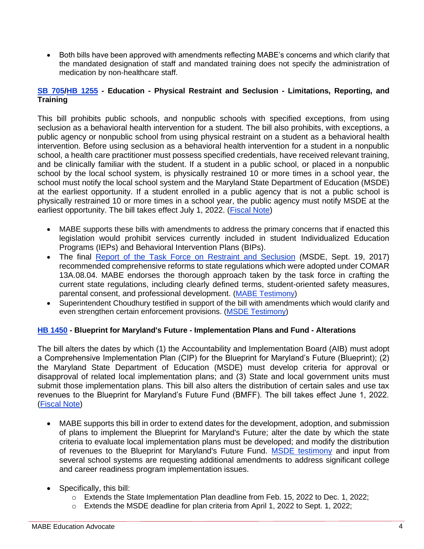• Both bills have been approved with amendments reflecting MABE's concerns and which clarify that the mandated designation of staff and mandated training does not specify the administration of medication by non-healthcare staff.

#### **[SB 705](https://mgaleg.maryland.gov/mgawebsite/Legislation/Details/sb0705)[/HB 1255](https://mgaleg.maryland.gov/mgawebsite/Legislation/Details/HB1255?ys=2022RS) - Education - Physical Restraint and Seclusion - Limitations, Reporting, and Training**

This bill prohibits public schools, and nonpublic schools with specified exceptions, from using seclusion as a behavioral health intervention for a student. The bill also prohibits, with exceptions, a public agency or nonpublic school from using physical restraint on a student as a behavioral health intervention. Before using seclusion as a behavioral health intervention for a student in a nonpublic school, a health care practitioner must possess specified credentials, have received relevant training, and be clinically familiar with the student. If a student in a public school, or placed in a nonpublic school by the local school system, is physically restrained 10 or more times in a school year, the school must notify the local school system and the Maryland State Department of Education (MSDE) at the earliest opportunity. If a student enrolled in a public agency that is not a public school is physically restrained 10 or more times in a school year, the public agency must notify MSDE at the earliest opportunity. The bill takes effect July 1, 2022. [\(Fiscal Note\)](https://mgaleg.maryland.gov/2022RS/fnotes/bil_0005/sb0705.pdf)

- MABE supports these bills with amendments to address the primary concerns that if enacted this legislation would prohibit services currently included in student Individualized Education Programs (IEPs) and Behavioral Intervention Plans (BIPs).
- The final [Report of the Task Force on Restraint and Seclusion](https://marylandpublicschools.org/programs/Documents/TFRS/TFRSFreport.pdf) (MSDE, Sept. 19, 2017) recommended comprehensive reforms to state regulations which were adopted under COMAR 13A.08.04. MABE endorses the thorough approach taken by the task force in crafting the current state regulations, including clearly defined terms, student-oriented safety measures, parental consent, and professional development. [\(MABE Testimony\)](https://www.mabe.org/wp-content/uploads/2022/03/SB-705.restraint-and-seclusion-requirements-.pdf)
- Superintendent Choudhury testified in support of the bill with amendments which would clarify and even strengthen certain enforcement provisions. [\(MSDE Testimony\)](https://www.mabe.org/wp-content/uploads/2022/03/SB-705.MSDE-Letter-SWA.pdf)

## **[HB 1450](https://mgaleg.maryland.gov/mgawebsite/Legislation/Details/HB1450) - Blueprint for Maryland's Future - Implementation Plans and Fund - Alterations**

The bill alters the dates by which (1) the Accountability and Implementation Board (AIB) must adopt a Comprehensive Implementation Plan (CIP) for the Blueprint for Maryland's Future (Blueprint); (2) the Maryland State Department of Education (MSDE) must develop criteria for approval or disapproval of related local implementation plans; and (3) State and local government units must submit those implementation plans. This bill also alters the distribution of certain sales and use tax revenues to the Blueprint for Maryland's Future Fund (BMFF). The bill takes effect June 1, 2022. [\(Fiscal Note\)](https://mgaleg.maryland.gov/2022RS/fnotes/bil_0000/hb1450.pdf)

- MABE supports this bill in order to extend dates for the development, adoption, and submission of plans to implement the Blueprint for Maryland's Future; alter the date by which the state criteria to evaluate local implementation plans must be developed; and modify the distribution of revenues to the Blueprint for Maryland's Future Fund. [MSDE testimony](https://www.mabe.org/wp-content/uploads/2022/03/HB-1450.MSDE-Letter-SWA.pdf) and input from several school systems are requesting additional amendments to address significant college and career readiness program implementation issues.
- Specifically, this bill:
	- o Extends the State Implementation Plan deadline from Feb. 15, 2022 to Dec. 1, 2022;
	- o Extends the MSDE deadline for plan criteria from April 1, 2022 to Sept. 1, 2022;